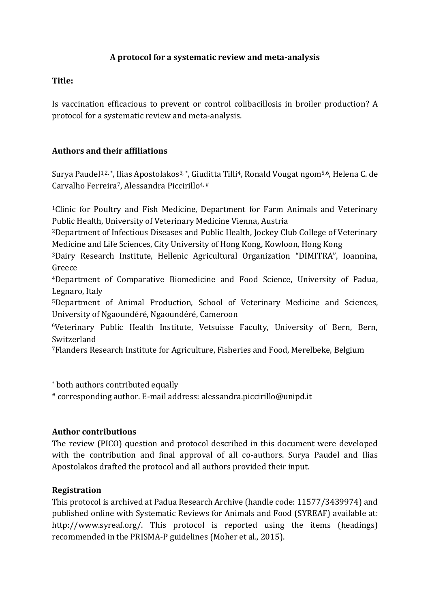### **A protocol for a systematic review and meta-analysis**

#### **Title:**

Is vaccination efficacious to prevent or control colibacillosis in broiler production? A protocol for a systematic review and meta-analysis.

#### **Authors and their affiliations**

Surya Paudel<sup>1,2,\*</sup>, Ilias Apostolakos<sup>3,\*</sup>, Giuditta Tilli<sup>4</sup>, Ronald Vougat ngom<sup>5,6</sup>, Helena C. de Carvalho Ferreira<sup>7</sup>, Alessandra Piccirillo<sup>4,#</sup>

<sup>1</sup>Clinic for Poultry and Fish Medicine, Department for Farm Animals and Veterinary Public Health, University of Veterinary Medicine Vienna, Austria

<sup>2</sup>Department of Infectious Diseases and Public Health, Jockey Club College of Veterinary Medicine and Life Sciences, City University of Hong Kong, Kowloon, Hong Kong

<sup>3</sup>Dairy Research Institute, Hellenic Agricultural Organization "DIMITRA", Ioannina, Greece

<sup>4</sup>Department of Comparative Biomedicine and Food Science, University of Padua, Legnaro, Italy

<sup>5</sup>Department of Animal Production, School of Veterinary Medicine and Sciences, University of Ngaoundéré, Ngaoundéré, Cameroon

<sup>6</sup>Veterinary Public Health Institute, Vetsuisse Faculty, University of Bern, Bern, Switzerland

<sup>7</sup>Flanders Research Institute for Agriculture, Fisheries and Food, Merelbeke, Belgium

\* both authors contributed equally

# corresponding author. E-mail address: alessandra.piccirillo@unipd.it

#### **Author contributions**

The review (PICO) question and protocol described in this document were developed with the contribution and final approval of all co-authors. Surya Paudel and Ilias Apostolakos drafted the protocol and all authors provided their input.

#### **Registration**

This protocol is archived at Padua Research Archive (handle code: 11577/3439974) and published online with Systematic Reviews for Animals and Food (SYREAF) available at: http://www.syreaf.org/. This protocol is reported using the items (headings) recommended in the PRISMA-P guidelines (Moher et al., 2015).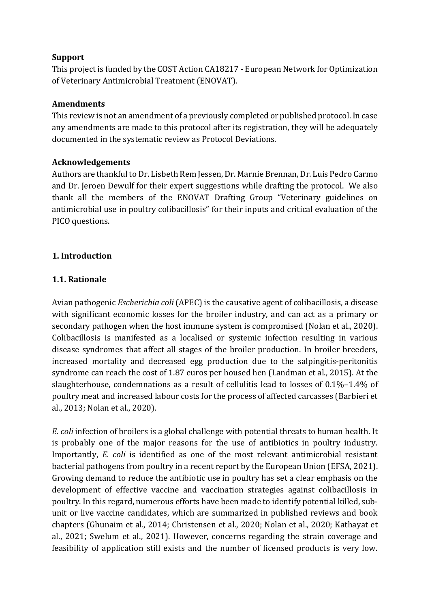### **Support**

This project is funded by the COST Action CA18217 - European Network for Optimization of Veterinary Antimicrobial Treatment (ENOVAT).

#### **Amendments**

This review is not an amendment of a previously completed or published protocol. In case any amendments are made to this protocol after its registration, they will be adequately documented in the systematic review as Protocol Deviations.

#### **Acknowledgements**

Authors are thankful to Dr. Lisbeth Rem Jessen, Dr. Marnie Brennan, Dr. Luis Pedro Carmo and Dr. Jeroen Dewulf for their expert suggestions while drafting the protocol. We also thank all the members of the ENOVAT Drafting Group "Veterinary guidelines on antimicrobial use in poultry colibacillosis" for their inputs and critical evaluation of the PICO questions.

### **1. Introduction**

### **1.1. Rationale**

Avian pathogenic *Escherichia coli* (APEC) is the causative agent of colibacillosis, a disease with significant economic losses for the broiler industry, and can act as a primary or secondary pathogen when the host immune system is compromised (Nolan et al., 2020). Colibacillosis is manifested as a localised or systemic infection resulting in various disease syndromes that affect all stages of the broiler production. In broiler breeders, increased mortality and decreased egg production due to the salpingitis-peritonitis syndrome can reach the cost of 1.87 euros per housed hen (Landman et al., 2015). At the slaughterhouse, condemnations as a result of cellulitis lead to losses of 0.1%–1.4% of poultry meat and increased labour costs for the process of affected carcasses (Barbieri et al., 2013; Nolan et al., 2020).

*E. coli* infection of broilers is a global challenge with potential threats to human health. It is probably one of the major reasons for the use of antibiotics in poultry industry. Importantly, *E. coli* is identified as one of the most relevant antimicrobial resistant bacterial pathogens from poultry in a recent report by the European Union (EFSA, 2021). Growing demand to reduce the antibiotic use in poultry has set a clear emphasis on the development of effective vaccine and vaccination strategies against colibacillosis in poultry. In this regard, numerous efforts have been made to identify potential killed, subunit or live vaccine candidates, which are summarized in published reviews and book chapters (Ghunaim et al., 2014; Christensen et al., 2020; Nolan et al., 2020; Kathayat et al., 2021; Swelum et al., 2021). However, concerns regarding the strain coverage and feasibility of application still exists and the number of licensed products is very low.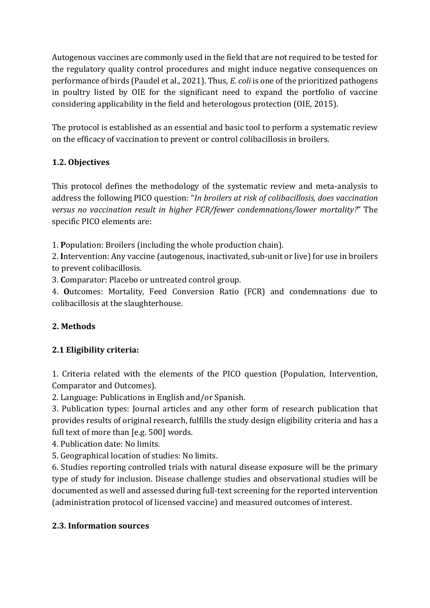Autogenous vaccines are commonly used in the field that are not required to be tested for the regulatory quality control procedures and might induce negative consequences on performance of birds (Paudel et al., 2021). Thus, *E. coli* is one of the prioritized pathogens in poultry listed by OIE for the significant need to expand the portfolio of vaccine considering applicability in the field and heterologous protection (OIE, 2015).

The protocol is established as an essential and basic tool to perform a systematic review on the efficacy of vaccination to prevent or control colibacillosis in broilers.

# **1.2. Objectives**

This protocol defines the methodology of the systematic review and meta-analysis to address the following PICO question: "*In broilers at risk of colibacillosis, does vaccination versus no vaccination result in higher FCR/fewer condemnations/lower mortality?*" The specific PICO elements are:

1. **P**opulation: Broilers (including the whole production chain).

2. **I**ntervention: Any vaccine (autogenous, inactivated, sub-unit or live) for use in broilers to prevent colibacillosis.

3. **C**omparator: Placebo or untreated control group.

4. **O**utcomes: Mortality, Feed Conversion Ratio (FCR) and condemnations due to colibacillosis at the slaughterhouse.

# **2. Methods**

# **2.1 Eligibility criteria:**

1. Criteria related with the elements of the PICO question (Population, Intervention, Comparator and Outcomes).

2. Language: Publications in English and/or Spanish.

3. Publication types: Journal articles and any other form of research publication that provides results of original research, fulfills the study design eligibility criteria and has a full text of more than [e.g. 500] words.

4. Publication date: No limits.

5. Geographical location of studies: No limits.

6. Studies reporting controlled trials with natural disease exposure will be the primary type of study for inclusion. Disease challenge studies and observational studies will be documented as well and assessed during full-text screening for the reported intervention (administration protocol of licensed vaccine) and measured outcomes of interest.

# **2.3. Information sources**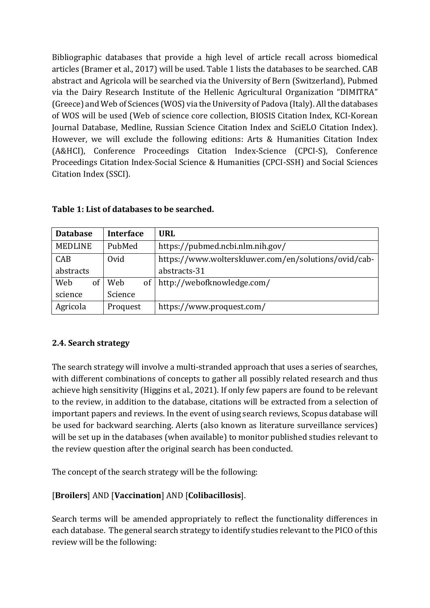Bibliographic databases that provide a high level of article recall across biomedical articles (Bramer et al., 2017) will be used. Table 1 lists the databases to be searched. CAB abstract and Agricola will be searched via the University of Bern (Switzerland), Pubmed via the Dairy Research Institute of the Hellenic Agricultural Organization "DIMITRA" (Greece) and Web of Sciences (WOS) via the University of Padova (Italy). All the databases of WOS will be used (Web of science core collection, BIOSIS Citation Index, KCI-Korean Journal Database, Medline, Russian Science Citation Index and SciELO Citation Index). However, we will exclude the following editions: Arts & Humanities Citation Index (A&HCI), Conference Proceedings Citation Index-Science (CPCI-S), Conference Proceedings Citation Index-Social Science & Humanities (CPCI-SSH) and Social Sciences Citation Index (SSCI).

| <b>Database</b> | <b>Interface</b>     | <b>URL</b>                                           |
|-----------------|----------------------|------------------------------------------------------|
| <b>MEDLINE</b>  | PubMed               | https://pubmed.ncbi.nlm.nih.gov/                     |
| CAB             | Ovid                 | https://www.wolterskluwer.com/en/solutions/ovid/cab- |
| abstracts       |                      | abstracts-31                                         |
| Web<br>of       | Web<br><sub>of</sub> | http://webofknowledge.com/                           |
| science         | Science              |                                                      |
| Agricola        | Proquest             | https://www.proquest.com/                            |

#### **Table 1: List of databases to be searched.**

### **2.4. Search strategy**

The search strategy will involve a multi-stranded approach that uses a series of searches, with different combinations of concepts to gather all possibly related research and thus achieve high sensitivity (Higgins et al., 2021). If only few papers are found to be relevant to the review, in addition to the database, citations will be extracted from a selection of important papers and reviews. In the event of using search reviews, Scopus database will be used for backward searching. Alerts (also known as literature surveillance services) will be set up in the databases (when available) to monitor published studies relevant to the review question after the original search has been conducted.

The concept of the search strategy will be the following:

### [**Broilers**] AND [**Vaccination**] AND [**Colibacillosis**].

Search terms will be amended appropriately to reflect the functionality differences in each database. The general search strategy to identify studies relevant to the PICO of this review will be the following: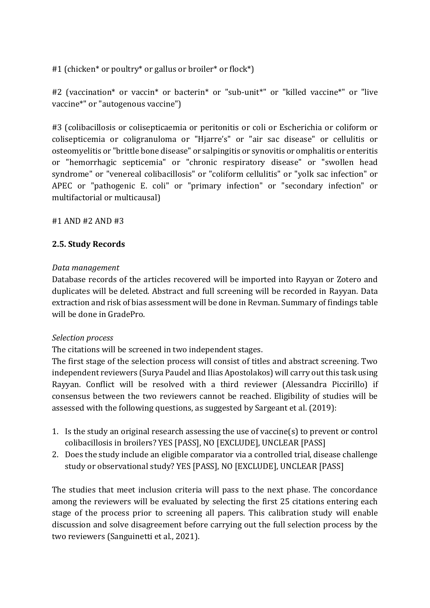#1 (chicken\* or poultry\* or gallus or broiler\* or flock\*)

#2 (vaccination\* or vaccin\* or bacterin\* or "sub-unit\*" or "killed vaccine\*" or "live vaccine\*" or "autogenous vaccine")

#3 (colibacillosis or colisepticaemia or peritonitis or coli or Escherichia or coliform or colisepticemia or coligranuloma or "Hjarre's" or "air sac disease" or cellulitis or osteomyelitis or "brittle bone disease" or salpingitis or synovitis or omphalitis or enteritis or "hemorrhagic septicemia" or "chronic respiratory disease" or "swollen head syndrome" or "venereal colibacillosis" or "coliform cellulitis" or "yolk sac infection" or APEC or "pathogenic E. coli" or "primary infection" or "secondary infection" or multifactorial or multicausal)

#1 AND #2 AND #3

## **2.5. Study Records**

#### *Data management*

Database records of the articles recovered will be imported into Rayyan or Zotero and duplicates will be deleted. Abstract and full screening will be recorded in Rayyan. Data extraction and risk of bias assessment will be done in Revman. Summary of findings table will be done in GradePro.

### *Selection process*

The citations will be screened in two independent stages.

The first stage of the selection process will consist of titles and abstract screening. Two independent reviewers (Surya Paudel and Ilias Apostolakos) will carry out this task using Rayyan. Conflict will be resolved with a third reviewer (Alessandra Piccirillo) if consensus between the two reviewers cannot be reached. Eligibility of studies will be assessed with the following questions, as suggested by Sargeant et al. (2019):

- 1. Is the study an original research assessing the use of vaccine(s) to prevent or control colibacillosis in broilers? YES [PASS], NO [EXCLUDE], UNCLEAR [PASS]
- 2. Does the study include an eligible comparator via a controlled trial, disease challenge study or observational study? YES [PASS], NO [EXCLUDE], UNCLEAR [PASS]

The studies that meet inclusion criteria will pass to the next phase. The concordance among the reviewers will be evaluated by selecting the first 25 citations entering each stage of the process prior to screening all papers. This calibration study will enable discussion and solve disagreement before carrying out the full selection process by the two reviewers (Sanguinetti et al., 2021).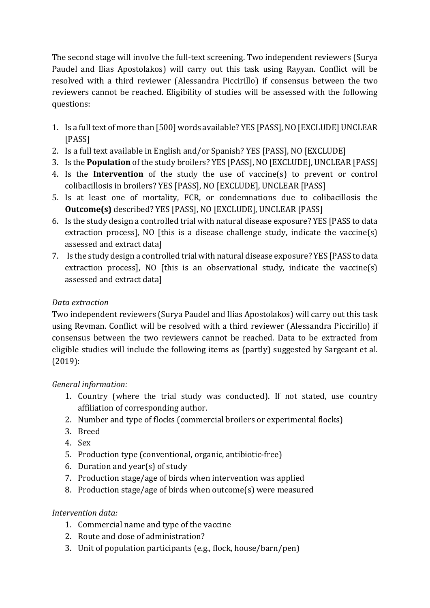The second stage will involve the full-text screening. Two independent reviewers (Surya Paudel and Ilias Apostolakos) will carry out this task using Rayyan. Conflict will be resolved with a third reviewer (Alessandra Piccirillo) if consensus between the two reviewers cannot be reached. Eligibility of studies will be assessed with the following questions:

- 1. Is a full text of more than [500] words available? YES [PASS], NO [EXCLUDE] UNCLEAR [PASS]
- 2. Is a full text available in English and/or Spanish? YES [PASS], NO [EXCLUDE]
- 3. Is the **Population** of the study broilers? YES [PASS], NO [EXCLUDE], UNCLEAR [PASS]
- 4. Is the **Intervention** of the study the use of vaccine(s) to prevent or control colibacillosis in broilers? YES [PASS], NO [EXCLUDE], UNCLEAR [PASS]
- 5. Is at least one of mortality, FCR, or condemnations due to colibacillosis the **Outcome(s)** described? YES [PASS], NO [EXCLUDE], UNCLEAR [PASS]
- 6. Is the study design a controlled trial with natural disease exposure? YES [PASS to data extraction process], NO [this is a disease challenge study, indicate the vaccine(s) assessed and extract data]
- 7. Is the study design a controlled trial with natural disease exposure? YES [PASS to data extraction process], NO [this is an observational study, indicate the vaccine(s) assessed and extract data]

## *Data extraction*

Two independent reviewers (Surya Paudel and Ilias Apostolakos) will carry out this task using Revman. Conflict will be resolved with a third reviewer (Alessandra Piccirillo) if consensus between the two reviewers cannot be reached. Data to be extracted from eligible studies will include the following items as (partly) suggested by Sargeant et al. (2019):

### *General information:*

- 1. Country (where the trial study was conducted). If not stated, use country affiliation of corresponding author.
- 2. Number and type of flocks (commercial broilers or experimental flocks)
- 3. Breed
- 4. Sex
- 5. Production type (conventional, organic, antibiotic-free)
- 6. Duration and year(s) of study
- 7. Production stage/age of birds when intervention was applied
- 8. Production stage/age of birds when outcome(s) were measured

# *Intervention data:*

- 1. Commercial name and type of the vaccine
- 2. Route and dose of administration?
- 3. Unit of population participants (e.g., flock, house/barn/pen)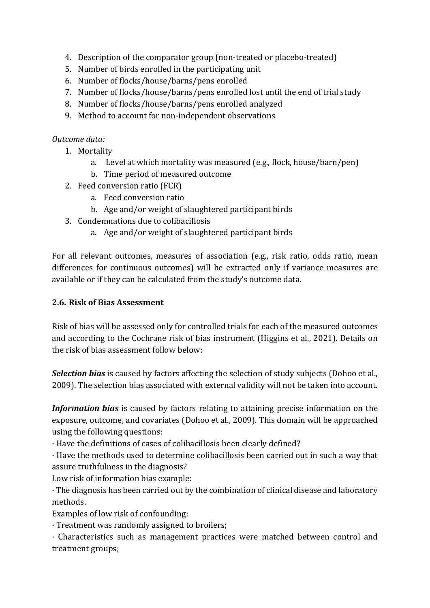- 4. Description of the comparator group (non-treated or placebo-treated)
- 5. Number of birds enrolled in the participating unit
- 6. Number of flocks/house/barns/pens enrolled
- 7. Number of flocks/house/barns/pens enrolled lost until the end of trial study
- 8. Number of flocks/house/barns/pens enrolled analyzed
- 9. Method to account for non-independent observations

## *Outcome data:*

- 1. Mortality
	- a. Level at which mortality was measured (e.g., flock, house/barn/pen)
	- b. Time period of measured outcome
- 2. Feed conversion ratio (FCR)
	- a. Feed conversion ratio
		- b. Age and/or weight of slaughtered participant birds
- 3. Condemnations due to colibacillosis
	- a. Age and/or weight of slaughtered participant birds

For all relevant outcomes, measures of association (e.g., risk ratio, odds ratio, mean differences for continuous outcomes) will be extracted only if variance measures are available or if they can be calculated from the study's outcome data.

## **2.6. Risk of Bias Assessment**

Risk of bias will be assessed only for controlled trials for each of the measured outcomes and according to the Cochrane risk of bias instrument (Higgins et al., 2021). Details on the risk of bias assessment follow below:

*Selection bias* is caused by factors affecting the selection of study subjects (Dohoo et al., 2009). The selection bias associated with external validity will not be taken into account.

*Information bias* is caused by factors relating to attaining precise information on the exposure, outcome, and covariates (Dohoo et al., 2009). This domain will be approached using the following questions:

· Have the definitions of cases of colibacillosis been clearly defined?

· Have the methods used to determine colibacillosis been carried out in such a way that assure truthfulness in the diagnosis?

Low risk of information bias example:

· The diagnosis has been carried out by the combination of clinical disease and laboratory methods.

Examples of low risk of confounding:

· Treatment was randomly assigned to broilers;

· Characteristics such as management practices were matched between control and treatment groups;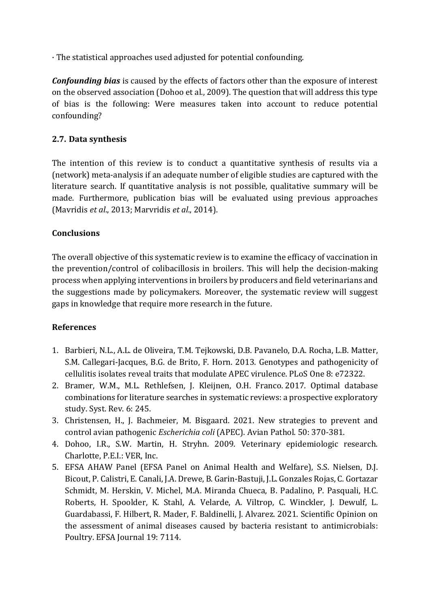· The statistical approaches used adjusted for potential confounding.

*Confounding bias* is caused by the effects of factors other than the exposure of interest on the observed association (Dohoo et al., 2009). The question that will address this type of bias is the following: Were measures taken into account to reduce potential confounding?

## **2.7. Data synthesis**

The intention of this review is to conduct a quantitative synthesis of results via a (network) meta-analysis if an adequate number of eligible studies are captured with the literature search. If quantitative analysis is not possible, qualitative summary will be made. Furthermore, publication bias will be evaluated using previous approaches (Mavridis *et al*., 2013; Marvridis *et al*., 2014).

## **Conclusions**

The overall objective of this systematic review is to examine the efficacy of vaccination in the prevention/control of colibacillosis in broilers. This will help the decision-making process when applying interventions in broilers by producers and field veterinarians and the suggestions made by policymakers. Moreover, the systematic review will suggest gaps in knowledge that require more research in the future.

### **References**

- 1. Barbieri, N.L., A.L. de Oliveira, T.M. Tejkowski, D.B. Pavanelo, D.A. Rocha, L.B. Matter, S.M. Callegari-Jacques, B.G. de Brito, F. Horn. 2013. Genotypes and pathogenicity of cellulitis isolates reveal traits that modulate APEC virulence. PLoS One 8: e72322.
- 2. Bramer, W.M., M.L. Rethlefsen, J. Kleijnen, O.H. Franco. 2017. Optimal database combinations for literature searches in systematic reviews: a prospective exploratory study. Syst. Rev. 6: 245.
- 3. Christensen, H., J. Bachmeier, M. Bisgaard. 2021. New strategies to prevent and control avian pathogenic *Escherichia coli* (APEC). Avian Pathol. 50: 370-381.
- 4. Dohoo, I.R., S.W. Martin, H. Stryhn. 2009. Veterinary epidemiologic research. Charlotte, P.E.I.: VER, Inc.
- 5. EFSA AHAW Panel (EFSA Panel on Animal Health and Welfare), S.S. Nielsen, D.J. Bicout, P. Calistri, E. Canali, J.A. Drewe, B. Garin-Bastuji, J.L. Gonzales Rojas, C. Gortazar Schmidt, M. Herskin, V. Michel, M.A. Miranda Chueca, B. Padalino, P. Pasquali, H.C. Roberts, H. Spoolder, K. Stahl, A. Velarde, A. Viltrop, C. Winckler, J. Dewulf, L. Guardabassi, F. Hilbert, R. Mader, F. Baldinelli, J. Alvarez. 2021. Scientific Opinion on the assessment of animal diseases caused by bacteria resistant to antimicrobials: Poultry. EFSA Journal 19: 7114.